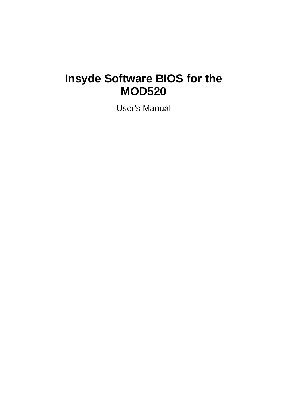# **Insyde Software BIOS for the MOD520**

User's Manual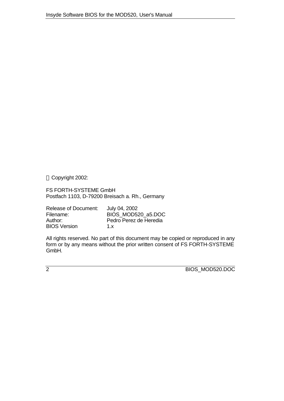Copyright 2002:

FS FORTH-SYSTEME GmbH Postfach 1103, D-79200 Breisach a. Rh., Germany

Release of Document: July 04, 2002<br>Filename: BIOS MOD5 BIOS\_MOD520\_a5.DOC Author: Pedro Perez de Heredia<br>BIOS Version 1.x **BIOS Version** 

All rights reserved. No part of this document may be copied or reproduced in any form or by any means without the prior written consent of FS FORTH-SYSTEME GmbH.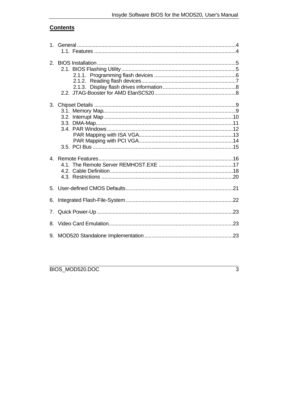# **Contents**

| 3. |  |
|----|--|
|    |  |
|    |  |
| 6. |  |
| 7. |  |
| 8. |  |
|    |  |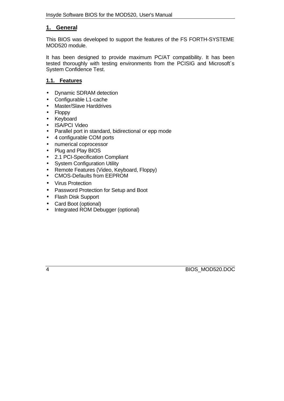## **1. General**

This BIOS was developed to support the features of the FS FORTH-SYSTEME MOD520 module.

It has been designed to provide maximum PC/AT compatibility. It has been tested thoroughly with testing environments from the PCISIG and Microsoft´s System Confidence Test.

## **1.1. Features**

- Dynamic SDRAM detection
- Configurable L1-cache
- Master/Slave Harddrives
- Floppy
- Keyboard
- ISA/PCI Video
- Parallel port in standard, bidirectional or epp mode
- 4 configurable COM ports
- numerical coprocessor
- Plug and Play BIOS
- 2.1 PCI-Specification Compliant
- System Configuration Utility
- Remote Features (Video, Keyboard, Floppy)
- CMOS-Defaults from EEPROM
- Virus Protection
- Password Protection for Setup and Boot
- Flash Disk Support
- Card Boot (optional)
- Integrated ROM Debugger (optional)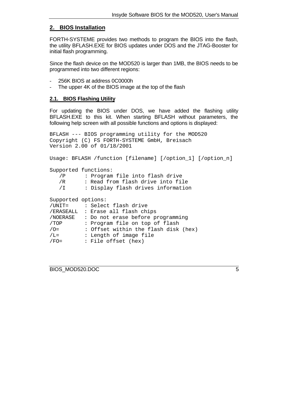## **2. BIOS Installation**

FORTH-SYSTEME provides two methods to program the BIOS into the flash, the utility BFLASH.EXE for BIOS updates under DOS and the JTAG-Booster for initial flash programming.

Since the flash device on the MOD520 is larger than 1MB, the BIOS needs to be programmed into two different regions:

- 256K BIOS at address 0C0000h
- The upper 4K of the BIOS image at the top of the flash

#### **2.1. BIOS Flashing Utility**

For updating the BIOS under DOS, we have added the flashing utility BFLASH.EXE to this kit. When starting BFLASH without parameters, the following help screen with all possible functions and options is displayed:

```
BFLASH --- BIOS programming utility for the MOD520
Copyright (C) FS FORTH-SYSTEME GmbH, Breisach
Version 2.00 of 01/18/2001
Usage: BFLASH /function [filename] [/option_1] [/option_n]
Supported functions:
   /P : Program file into flash drive
   /R : Read from flash drive into file
   /I : Display flash drives information
```

| Supported options: |                                      |
|--------------------|--------------------------------------|
| /UNIT=             | : Select flash drive                 |
|                    | /ERASEALL : Erase all flash chips    |
| /NOERASE           | : Do not erase before programming    |
| /TOP               | : Program file on top of flash       |
| $/O =$             | : Offset within the flash disk (hex) |
| $/L =$             | : Length of image file               |
| $/FO=$             | : File offset (hex)                  |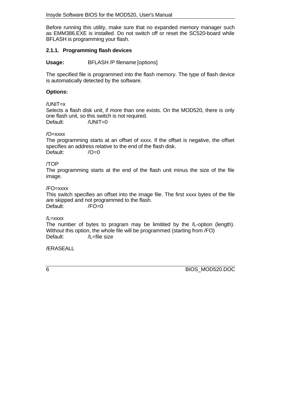Before running this utility, make sure that no expanded memory manager such as EMM386.EXE is installed. Do not switch off or reset the SC520-board while BFLASH is programming your flash.

## **2.1.1. Programming flash devices**

**Usage:** BFLASH /P filename [options]

The specified file is programmed into the flash memory. The type of flash device is automatically detected by the software.

## **Options:**

/UNIT=x

Selects a flash disk unit, if more than one exists. On the MOD520, there is only one flash unit, so this switch is not required. Default: /UNIT=0

## /O=xxxx

The programming starts at an offset of xxxx. If the offset is negative, the offset specifies an address relative to the end of the flash disk. Default: /O=0

## /TOP

The programming starts at the end of the flash unit minus the size of the file image.

#### /FO=xxxx

This switch specifies an offset into the image file. The first xxxx bytes of the file are skipped and not programmed to the flash.<br>Default: /FO=0 Default:

#### $\lambda$  = xxxx

The number of bytes to program may be limitited by the /L-option (length). Without this option, the whole file will be programmed (starting from /FO) Default: /L=file size

/ERASEALL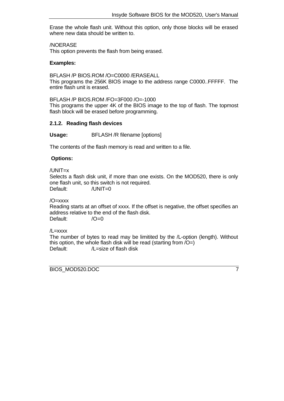Erase the whole flash unit. Without this option, only those blocks will be erased where new data should be written to.

/NOERASE

This option prevents the flash from being erased.

#### **Examples:**

BFLASH /P BIOS.ROM /O=C0000 /ERASEALL This programs the 256K BIOS image to the address range C0000..FFFFF. The entire flash unit is erased.

BFLASH /P BIOS.ROM /FO=3F000 /O=-1000

This programs the upper 4K of the BIOS image to the top of flash. The topmost flash block will be erased before programming.

#### **2.1.2. Reading flash devices**

Usage: BFLASH /R filename [options]

The contents of the flash memory is read and written to a file.

#### **Options:**

/UNIT=x

Selects a flash disk unit, if more than one exists. On the MOD520, there is only one flash unit, so this switch is not required. Default: /UNIT=0

/O=xxxx

Reading starts at an offset of xxxx. If the offset is negative, the offset specifies an address relative to the end of the flash disk. Default: /O=0

/L=xxxx

The number of bytes to read may be limitited by the /L-option (length). Without this option, the whole flash disk will be read (starting from  $\overline{O}$  =) Default: /L=size of flash disk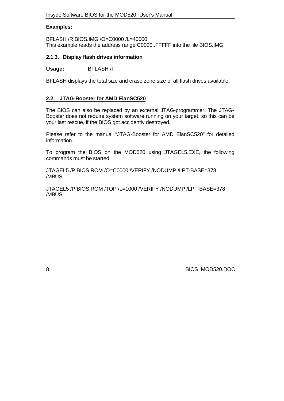#### **Examples:**

BFLASH /R BIOS.IMG /O=C0000 /L=40000 This example reads the address range C0000..FFFFF into the file BIOS.IMG.

## **2.1.3. Display flash drives information**

#### **Usage:** BFLASH /I

BFLASH displays the total size and erase zone size of all flash drives available.

## **2.2. JTAG-Booster for AMD ElanSC520**

The BIOS can also be replaced by an external JTAG-programmer. The JTAG-Booster does not require system software running on your target, so this can be your last rescue, if the BIOS got accidently destroyed.

Please refer to the manual "JTAG-Booster for AMD ElanSC520" for detailed information.

To program the BIOS on the MOD520 using JTAGEL5.EXE, the following commands must be started:

JTAGEL5 /P BIOS.ROM /O=C0000 /VERIFY /NODUMP /LPT-BASE=378 /MBUS

JTAGEL5 /P BIOS.ROM /TOP /L=1000 /VERIFY /NODUMP /LPT-BASE=378 /MBUS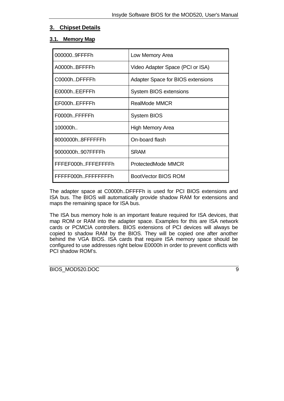## **3. Chipset Details**

## **3.1. Memory Map**

| 0000009FFFFh        | Low Memory Area                   |
|---------------------|-----------------------------------|
| A0000hBFFFFh        | Video Adapter Space (PCI or ISA)  |
| C0000hDFFFFh        | Adapter Space for BIOS extensions |
| E0000hEEFFFh        | <b>System BIOS extensions</b>     |
| EF000hEFFFFh        | <b>RealMode MMCR</b>              |
| F0000hFFFFFh        | <b>System BIOS</b>                |
| 100000h             | High Memory Area                  |
| 8000000h8FFFFFFh    | On-board flash                    |
| 9000000h907FFFFh    | <b>SRAM</b>                       |
| FFFEF000hFFFEFFFFh  | ProtectedMode MMCR                |
| FFFFF000hFFFFFFFFFh | BootVector BIOS ROM               |

The adapter space at C0000h..DFFFFh is used for PCI BIOS extensions and ISA bus. The BIOS will automatically provide shadow RAM for extensions and maps the remaining space for ISA bus.

The ISA bus memory hole is an important feature required for ISA devices, that map ROM or RAM into the adapter space. Examples for this are ISA network cards or PCMCIA controllers. BIOS extensions of PCI devices will always be copied to shadow RAM by the BIOS. They will be copied one after another behind the VGA BIOS. ISA cards that require ISA memory space should be configured to use addresses right below E0000h in order to prevent conflicts with PCI shadow ROM's.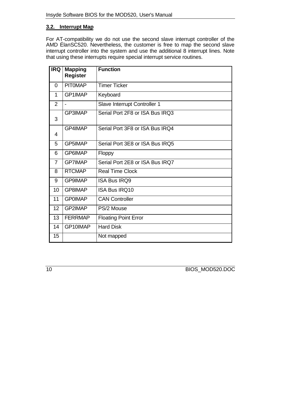## **3.2. Interrupt Map**

For AT-compatibility we do not use the second slave interrupt controller of the AMD ÉlanSC520. Nevertheless, the customer is free to map the second slave interrupt controller into the system and use the additional 8 interrupt lines. Note that using these interrupts require special interrupt service routines.

| <b>IRQ</b>     | <b>Mapping</b><br><b>Register</b> | <b>Function</b>                 |
|----------------|-----------------------------------|---------------------------------|
| $\Omega$       | <b>PITOMAP</b>                    | <b>Timer Ticker</b>             |
| 1              | GP1IMAP                           | Keyboard                        |
| 2              |                                   | Slave Interrupt Controller 1    |
| 3              | GP3IMAP                           | Serial Port 2F8 or ISA Bus IRQ3 |
| 4              | GP4IMAP                           | Serial Port 3F8 or ISA Bus IRQ4 |
| 5              | GP5IMAP                           | Serial Port 3E8 or ISA Bus IRQ5 |
| 6              | GP6IMAP                           | Floppy                          |
| $\overline{7}$ | <b>GP7IMAP</b>                    | Serial Port 2E8 or ISA Bus IRQ7 |
| 8              | <b>RTCMAP</b>                     | <b>Real Time Clock</b>          |
| 9              | <b>GP9IMAP</b>                    | <b>ISA Bus IRQ9</b>             |
| 10             | GP8IMAP                           | <b>ISA Bus IRQ10</b>            |
| 11             | <b>GPOIMAP</b>                    | <b>CAN Controller</b>           |
| 12             | GP2IMAP                           | PS/2 Mouse                      |
| 13             | <b>FERRMAP</b>                    | <b>Floating Point Error</b>     |
| 14             | GP10IMAP                          | <b>Hard Disk</b>                |
| 15             |                                   | Not mapped                      |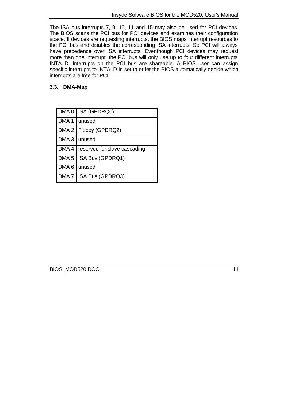The ISA bus interrupts 7, 9, 10, 11 and 15 may also be used for PCI devices. The BIOS scans the PCI bus for PCI devices and examines their configuration space. If devices are requesting interrupts, the BIOS maps interrupt resources to the PCI bus and disables the corresponding ISA interrupts. So PCI will always have precedence over ISA interrupts. Eventhough PCI devices may request more than one interrupt, the PCI bus will only use up to four different interrupts INTA..D. Interrupts on the PCI bus are shareable. A BIOS user can assign specific interrupts to INTA..D in setup or let the BIOS automatically decide which interrupts are free for PCI.

## **3.3. DMA-Map**

|                | DMA 0   ISA (GPDRQ0)                 |
|----------------|--------------------------------------|
| DMA 1   unused |                                      |
|                | DMA 2   Floppy (GPDRQ2)              |
| DMA 3   unused |                                      |
|                | DMA 4   reserved for slave cascading |
|                | DMA 5   ISA Bus (GPDRQ1)             |
| DMA 6 unused   |                                      |
|                | DMA 7   ISA Bus (GPDRQ3)             |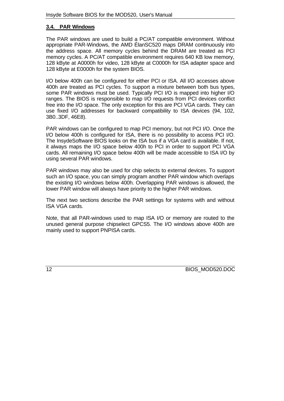## **3.4. PAR Windows**

The PAR windows are used to build a PC/AT compatible environment. Without appropriate PAR-Windows, the AMD ÉlanSC520 maps DRAM continuously into the address space. All memory cycles behind the DRAM are treated as PCI memory cycles. A PC/AT compatible environment requires 640 KB low memory, 128 kByte at A0000h for video, 128 kByte at C0000h for ISA adapter space and 128 kByte at E0000h for the system BIOS.

I/O below 400h can be configured for either PCI or ISA. All I/O accesses above 400h are treated as PCI cycles. To support a mixture between both bus types, some PAR windows must be used. Typically PCI I/O is mapped into higher I/O ranges. The BIOS is responsible to map I/O requests from PCI devices conflict free into the I/O space. The only exception for this are PCI VGA cards. They can use fixed I/O addresses for backward compatibility to ISA devices (94, 102, 3B0..3DF, 46E8).

PAR windows can be configured to map PCI memory, but not PCI I/O. Once the I/O below 400h is configured for ISA, there is no possibility to access PCI I/O. The InsydeSoftware BIOS looks on the ISA bus if a VGA card is available. If not, it always maps the I/O space below 400h to PCI in order to support PCI VGA cards. All remaining I/O space below 400h will be made accessible to ISA I/O by using several PAR windows.

PAR windows may also be used for chip selects to external devices. To support such an I/O space, you can simply program another PAR window which overlaps the existing I/O windows below 400h. Overlapping PAR windows is allowed, the lower PAR window will always have priority to the higher PAR windows.

The next two sections describe the PAR settings for systems with and without ISA VGA cards.

Note, that all PAR-windows used to map ISA I/O or memory are routed to the unused general purpose chipselect GPCS5. The I/O windows above 400h are mainly used to support PNPISA cards.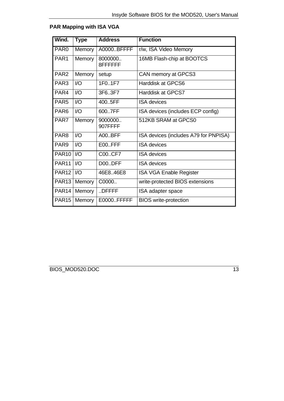| Wind.              | <b>Type</b>   | <b>Address</b>      | <b>Function</b>                       |
|--------------------|---------------|---------------------|---------------------------------------|
|                    |               |                     |                                       |
| PAR <sub>0</sub>   | <b>Memory</b> | A0000.BFFFF         | r/w, ISA Video Memory                 |
| PAR1               | Memory        | 8000000<br>8FFFFFFF | 16MB Flash-chip at BOOTCS             |
| PAR <sub>2</sub>   | <b>Memory</b> | setup               | CAN memory at GPCS3                   |
| PAR <sub>3</sub>   | $\mathsf{IO}$ | 1F01F7              | <b>Harddisk at GPCS6</b>              |
| PAR4               | 1/O           | 3F63F7              | Harddisk at GPCS7                     |
| PAR <sub>5</sub>   | 1/O           | 400.5FF             | <b>ISA</b> devices                    |
| PAR <sub>6</sub>   | 1/O           | 6007FF              | ISA devices (includes ECP config)     |
| PAR7               | Memory        | 9000000<br>907FFFF  | 512KB SRAM at GPCS0                   |
| PAR <sub>8</sub>   | $\mathsf{IO}$ | <b>A00BFF</b>       | ISA devices (includes A79 for PNPISA) |
| PAR <sub>9</sub>   | $U$           | E00.FFF             | <b>ISA</b> devices                    |
| <b>PAR10   I/O</b> |               | C00CF7              | <b>ISA</b> devices                    |
| <b>PAR11</b>       | $\mathsf{IO}$ | D00.DFF             | <b>ISA</b> devices                    |
| PAR <sub>12</sub>  | 1/O           | 46E8.46E8           | <b>ISA VGA Enable Register</b>        |
| <b>PAR13</b>       | Memory        | C0000               | write-protected BIOS extensions       |
| PAR <sub>14</sub>  | <b>Memory</b> | DFFFF               | ISA adapter space                     |
| <b>PAR15</b>       | <b>Memory</b> | E0000.FFFFF         | <b>BIOS</b> write-protection          |

# **PAR Mapping with ISA VGA**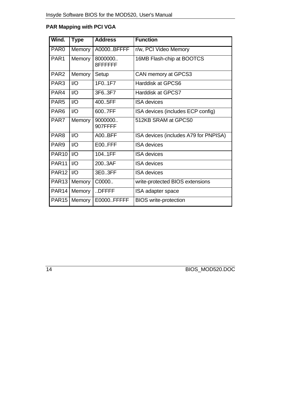# **PAR Mapping with PCI VGA**

| Wind.            | <b>Type</b>   | <b>Address</b>      | <b>Function</b>                       |
|------------------|---------------|---------------------|---------------------------------------|
| PAR <sub>0</sub> | Memory        | A0000BFFFF          | r/w, PCI Video Memory                 |
| PAR1             | Memory        | 8000000<br>8FFFFFFF | 16MB Flash-chip at BOOTCS             |
| PAR <sub>2</sub> | Memory        | Setup               | CAN memory at GPCS3                   |
| PAR <sub>3</sub> | $\mathsf{IO}$ | 1F01F7              | <b>Harddisk at GPCS6</b>              |
| PAR4             | I/O           | 3F63F7              | Harddisk at GPCS7                     |
| PAR <sub>5</sub> | $U$           | 4005FF              | <b>ISA</b> devices                    |
| PAR <sub>6</sub> | $U$           | 600.7FF             | ISA devices (includes ECP config)     |
| PAR7             | Memory        | 9000000<br>907FFFF  | 512KB SRAM at GPCS0                   |
| PAR <sub>8</sub> | 1/O           | <b>A00BFF</b>       | ISA devices (includes A79 for PNPISA) |
| PAR <sub>9</sub> | 1/O           | E00.FFF             | <b>ISA</b> devices                    |
| <b>PAR10</b>     | $l/O$         | 104.1FF             | <b>ISA</b> devices                    |
| <b>PAR11</b>     | $IO$          | 200.3AF             | <b>ISA</b> devices                    |
| <b>PAR12</b>     | $l/O$         | 3E03FF              | <b>ISA</b> devices                    |
| <b>PAR13</b>     | Memory        | C0000               | write-protected BIOS extensions       |
| <b>PAR14</b>     | Memory        | DFFFF               | ISA adapter space                     |
| <b>PAR15</b>     | Memory        | E0000.FFFFF         | <b>BIOS</b> write-protection          |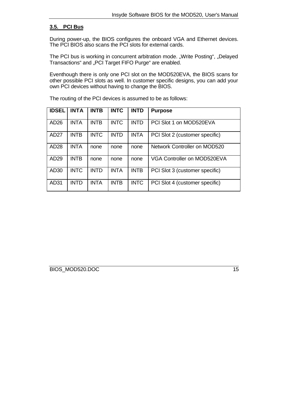#### **3.5. PCI Bus**

During power-up, the BIOS configures the onboard VGA and Ethernet devices. The PCI BIOS also scans the PCI slots for external cards.

The PCI bus is working in concurrent arbitration mode. "Write Posting", "Delayed Transactions" and "PCI Target FIFO Purge" are enabled.

Eventhough there is only one PCI slot on the MOD520EVA, the BIOS scans for other possible PCI slots as well. In customer specific designs, you can add your own PCI devices without having to change the BIOS.

| <b>IDSEL</b>     | <b>INTA</b> | <b>INTB</b> | <b>INTC</b> | <b>INTD</b> | <b>Purpose</b>                     |
|------------------|-------------|-------------|-------------|-------------|------------------------------------|
| AD <sub>26</sub> | <b>INTA</b> | <b>INTB</b> | <b>INTC</b> | <b>INTD</b> | PCI Slot 1 on MOD520EVA            |
| AD27             | <b>INTB</b> | <b>INTC</b> | <b>INTD</b> | <b>INTA</b> | PCI Slot 2 (customer specific)     |
| AD28             | <b>INTA</b> | none        | none        | none        | Network Controller on MOD520       |
| AD <sub>29</sub> | <b>INTB</b> | none        | none        | none        | <b>VGA Controller on MOD520EVA</b> |
| AD30             | <b>INTC</b> | <b>INTD</b> | <b>INTA</b> | <b>INTB</b> | PCI Slot 3 (customer specific)     |
| AD31             | <b>INTD</b> | <b>INTA</b> | <b>INTB</b> | <b>INTC</b> | PCI Slot 4 (customer specific)     |

The routing of the PCI devices is assumed to be as follows: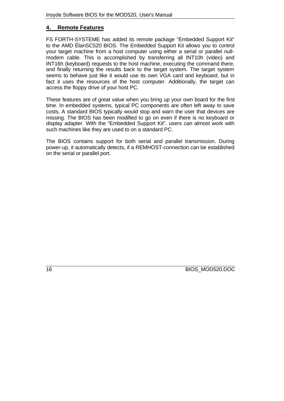## **4. Remote Features**

FS FORTH-SYSTEME has added its remote package "Embedded Support Kit" to the AMD ÉlanSC520 BIOS. The Embedded Support Kit allows you to control your target machine from a host computer using either a serial or parallel nullmodem cable. This is accomplished by transferring all INT10h (video) and INT16h (keyboard) requests to the host machine, executing the command there, and finally returning the results back to the target system. The target system seems to behave just like it would use its own VGA card and keyboard, but in fact it uses the resources of the host computer. Additionally, the target can access the floppy drive of your host PC.

These features are of great value when you bring up your own board for the first time. In embedded systems, typical PC components are often left away to save costs. A standard BIOS typically would stop and warn the user that devices are missing. The BIOS has been modified to go on even if there is no keyboard or display adapter. With the "Embedded Support Kit", users can almost work with such machines like they are used to on a standard PC.

The BIOS contains support for both serial and parallel transmission. During power-up, it automatically detects, if a REMHOST-connection can be established on the serial or parallel port.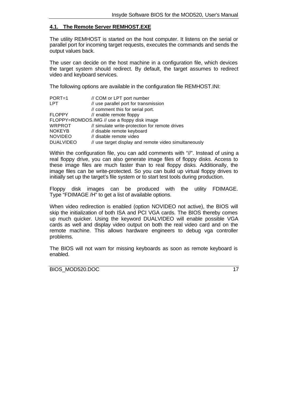#### **4.1. The Remote Server REMHOST.EXE**

The utility REMHOST is started on the host computer. It listens on the serial or parallel port for incoming target requests, executes the commands and sends the output values back.

The user can decide on the host machine in a configuration file, which devices the target system should redirect. By default, the target assumes to redirect video and keyboard services.

The following options are available in the configuration file REMHOST.INI:

| $PORT=1$         | // COM or LPT port number                             |
|------------------|-------------------------------------------------------|
| <b>LPT</b>       | // use parallel port for transmission                 |
|                  | // comment this for serial port.                      |
| <b>FLOPPY</b>    | // enable remote floppy                               |
|                  | FLOPPY=ROMDOS.IMG // use a floppy disk image          |
| <b>WRPROT</b>    | // simulate write-protection for remote drives        |
| <b>NOKEYB</b>    | // disable remote keyboard                            |
| <b>NOVIDEO</b>   | // disable remote video                               |
| <b>DUALVIDEO</b> | // use target display and remote video simultaneously |

Within the configuration file, you can add comments with "//". Instead of using a real floppy drive, you can also generate image files of floppy disks. Access to these image files are much faster than to real floppy disks. Additionally, the image files can be write-protected. So you can build up virtual floppy drives to initially set up the target's file system or to start test tools during production.

Floppy disk images can be produced with the utility FDIMAGE. Type "FDIMAGE /H" to get a list of available options.

When video redirection is enabled (option NOVIDEO not active), the BIOS will skip the initialization of both ISA and PCI VGA cards. The BIOS thereby comes up much quicker. Using the keyword DUALVIDEO will enable possible VGA cards as well and display video output on both the real video card and on the remote machine. This allows hardware engineers to debug vga controller problems.

The BIOS will not warn for missing keyboards as soon as remote keyboard is enabled.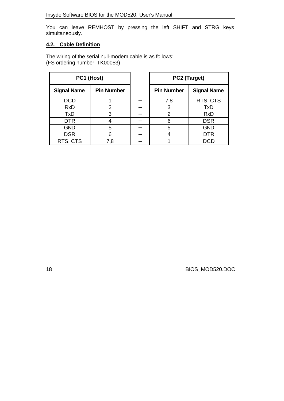You can leave REMHOST by pressing the left SHIFT and STRG keys simultaneously.

## **4.2. Cable Definition**

The wiring of the serial null-modem cable is as follows: (FS ordering number: TK00053)

| PC1 (Host)         |                   | PC2 (Target)      |                    |
|--------------------|-------------------|-------------------|--------------------|
| <b>Signal Name</b> | <b>Pin Number</b> | <b>Pin Number</b> | <b>Signal Name</b> |
| <b>DCD</b>         |                   | 7,8               | RTS, CTS           |
| <b>RxD</b>         | 2                 | 3                 | <b>TxD</b>         |
| <b>TxD</b>         | 3                 | $\overline{2}$    | <b>RxD</b>         |
| <b>DTR</b>         |                   | 6                 | <b>DSR</b>         |
| <b>GND</b>         | 5                 | 5                 | <b>GND</b>         |
| <b>DSR</b>         | 6                 |                   | <b>DTR</b>         |
| RTS, CTS           | 7,8               |                   | DCID               |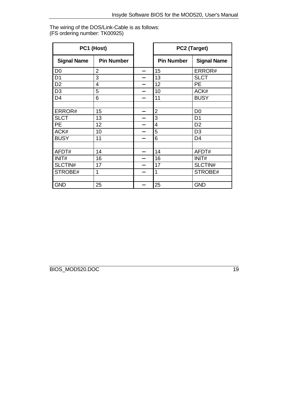The wiring of the DOS/Link-Cable is as follows: (FS ordering number: TK00925)

|                    | PC1 (Host)        | PC2 (Target)      |                    |
|--------------------|-------------------|-------------------|--------------------|
| <b>Signal Name</b> | <b>Pin Number</b> | <b>Pin Number</b> | <b>Signal Name</b> |
| D <sub>0</sub>     | $\overline{2}$    | 15                | ERROR#             |
| D <sub>1</sub>     | 3                 | 13                | <b>SLCT</b>        |
| D <sub>2</sub>     | 4                 | 12                | <b>PE</b>          |
| D <sub>3</sub>     | 5                 | 10                | ACK#               |
| D <sub>4</sub>     | 6                 | 11                | <b>BUSY</b>        |
|                    |                   |                   |                    |
| ERROR#             | 15                | $\overline{2}$    | D <sub>0</sub>     |
| <b>SLCT</b>        | 13                | 3                 | D <sub>1</sub>     |
| <b>PE</b>          | 12                | 4                 | D <sub>2</sub>     |
| ACK#               | 10                | 5                 | D <sub>3</sub>     |
| <b>BUSY</b>        | 11                | 6                 | D <sub>4</sub>     |
|                    |                   |                   |                    |
| AFDT#              | 14                | 14                | AFDT#              |
| INIT#              | 16                | 16                | INIT#              |
| SLCTIN#            | 17                | 17                | SLCTIN#            |
| STROBE#            | 1                 | 1                 | STROBE#            |
|                    |                   |                   |                    |
| <b>GND</b>         | 25                | 25                | <b>GND</b>         |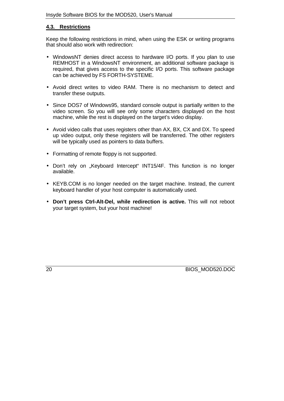#### **4.3. Restrictions**

Keep the following restrictions in mind, when using the ESK or writing programs that should also work with redirection:

- WindowsNT denies direct access to hardware I/O ports. If you plan to use REMHOST in a WindowsNT environment, an additional software package is required, that gives access to the specific I/O ports. This software package can be achieved by FS FORTH-SYSTEME.
- Avoid direct writes to video RAM. There is no mechanism to detect and transfer these outputs.
- Since DOS7 of Windows95, standard console output is partially written to the video screen. So you will see only some characters displayed on the host machine, while the rest is displayed on the target's video display.
- Avoid video calls that uses registers other than AX, BX, CX and DX. To speed up video output, only these registers will be transferred. The other registers will be typically used as pointers to data buffers.
- Formatting of remote floppy is not supported.
- Don't rely on "Keyboard Intercept" INT15/4F. This function is no longer available.
- KEYB.COM is no longer needed on the target machine. Instead, the current keyboard handler of your host computer is automatically used.
- **Don't press Ctrl-Alt-Del, while redirection is active.** This will not reboot your target system, but your host machine!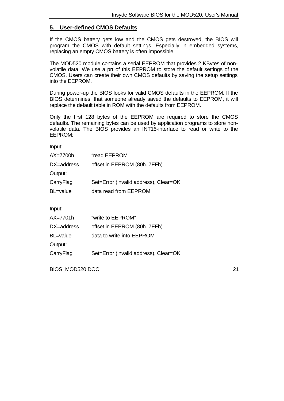## **5. User-defined CMOS Defaults**

If the CMOS battery gets low and the CMOS gets destroyed, the BIOS will program the CMOS with default settings. Especially in embedded systems, replacing an empty CMOS battery is often impossible.

The MOD520 module contains a serial EEPROM that provides 2 KBytes of nonvolatile data. We use a prt of this EEPROM to store the default settings of the CMOS. Users can create their own CMOS defaults by saving the setup settings into the EEPROM.

During power-up the BIOS looks for valid CMOS defaults in the EEPROM. If the BIOS determines, that someone already saved the defaults to EEPROM, it will replace the default table in ROM with the defaults from EEPROM.

Only the first 128 bytes of the EEPROM are required to store the CMOS defaults. The remaining bytes can be used by application programs to store nonvolatile data. The BIOS provides an INT15-interface to read or write to the EEPROM:

Input:

| $AX=7700h$       | "read EEPROM"                         |
|------------------|---------------------------------------|
| DX=address       | offset in EEPROM (80h7FFh)            |
| Output:          |                                       |
| CarryFlag        | Set=Error (invalid address), Clear=OK |
| <b>BL</b> =value | data read from EEPROM                 |

Input:

| "write to EEPROM"                     |
|---------------------------------------|
| offset in EEPROM (80h7FFh)            |
| data to write into EEPROM             |
|                                       |
| Set=Error (invalid address), Clear=OK |
|                                       |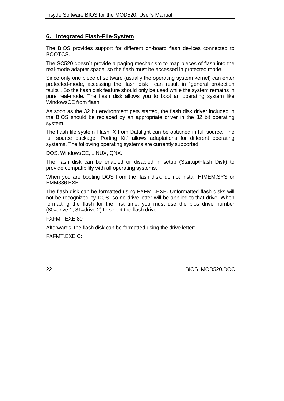## **6. Integrated Flash-File-System**

The BIOS provides support for different on-board flash devices connected to BOOTCS.

The SC520 doesn´t provide a paging mechanism to map pieces of flash into the real-mode adapter space, so the flash must be accessed in protected mode.

Since only one piece of software (usually the operating system kernel) can enter protected-mode, accessing the flash disk can result in "general protection faults". So the flash disk feature should only be used while the system remains in pure real-mode. The flash disk allows you to boot an operating system like WindowsCE from flash.

As soon as the 32 bit environment gets started, the flash disk driver included in the BIOS should be replaced by an appropriate driver in the 32 bit operating system.

The flash file system FlashFX from Datalight can be obtained in full source. The full source package "Porting Kit" allows adaptations for different operating systems. The following operating systems are currently supported:

DOS, WindowsCE, LINUX, QNX.

The flash disk can be enabled or disabled in setup (Startup/Flash Disk) to provide compatibility with all operating systems.

When you are booting DOS from the flash disk, do not install HIMEM.SYS or EMM386.EXE.

The flash disk can be formatted using FXFMT.EXE. Unformatted flash disks will not be recognized by DOS, so no drive letter will be applied to that drive. When formatting the flash for the first time, you must use the bios drive number (80=drive 1, 81=drive 2) to select the flash drive:

FXFMT.EXE 80

Afterwards, the flash disk can be formatted using the drive letter:

FXFMT.EXE C: